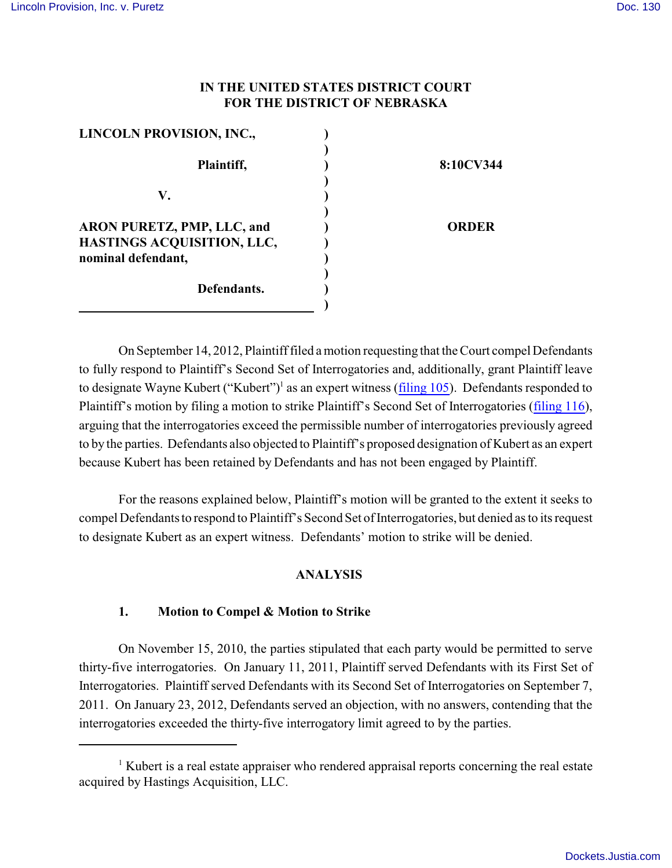## **IN THE UNITED STATES DISTRICT COURT FOR THE DISTRICT OF NEBRASKA**

| LINCOLN PROVISION, INC.,   |              |
|----------------------------|--------------|
|                            |              |
| Plaintiff,                 | 8:10CV344    |
|                            |              |
| V.                         |              |
|                            |              |
| ARON PURETZ, PMP, LLC, and | <b>ORDER</b> |
| HASTINGS ACQUISITION, LLC, |              |
| nominal defendant,         |              |
|                            |              |
| Defendants.                |              |
|                            |              |

On September 14, 2012, Plaintiff filed a motion requesting that the Court compel Defendants to fully respond to Plaintiff's Second Set of Interrogatories and, additionally, grant Plaintiff leave to designate Wayne Kubert ("Kubert")<sup>1</sup> as an expert witness (*[filing 105](https://ecf.ned.uscourts.gov/doc1/11312609222)*). Defendants responded to Plaintiff's motion by filing a motion to strike Plaintiff's Second Set of Interrogatories [\(filing 116](https://ecf.ned.uscourts.gov/doc1/11312624109)), arguing that the interrogatories exceed the permissible number of interrogatories previously agreed to by the parties. Defendants also objected to Plaintiff's proposed designation of Kubert as an expert because Kubert has been retained by Defendants and has not been engaged by Plaintiff.

For the reasons explained below, Plaintiff's motion will be granted to the extent it seeks to compel Defendants to respond to Plaintiff's Second Set of Interrogatories, but denied as to its request to designate Kubert as an expert witness. Defendants' motion to strike will be denied.

## **ANALYSIS**

## **1. Motion to Compel & Motion to Strike**

On November 15, 2010, the parties stipulated that each party would be permitted to serve thirty-five interrogatories. On January 11, 2011, Plaintiff served Defendants with its First Set of Interrogatories. Plaintiff served Defendants with its Second Set of Interrogatories on September 7, 2011. On January 23, 2012, Defendants served an objection, with no answers, contending that the interrogatories exceeded the thirty-five interrogatory limit agreed to by the parties.

<sup>&</sup>lt;sup>1</sup> Kubert is a real estate appraiser who rendered appraisal reports concerning the real estate acquired by Hastings Acquisition, LLC.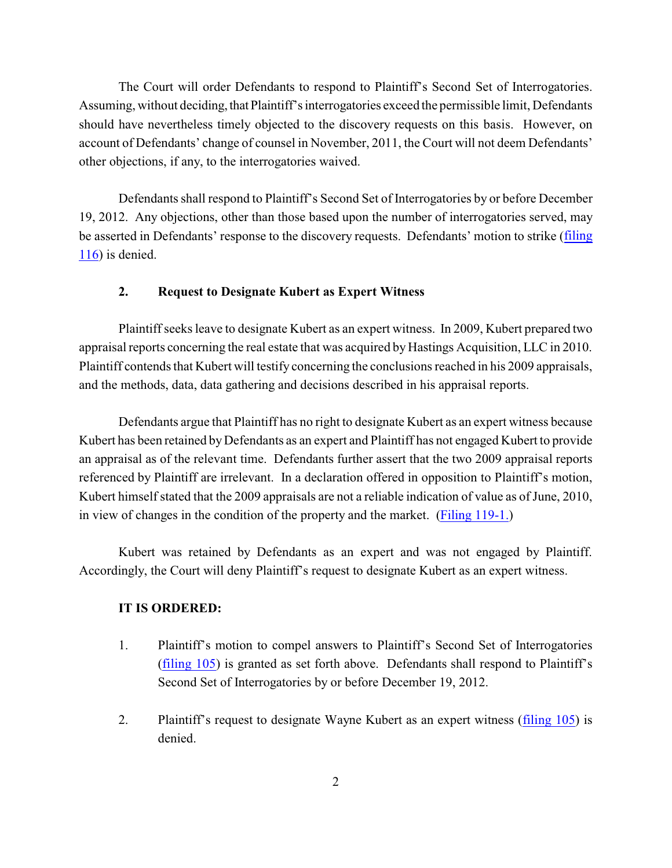The Court will order Defendants to respond to Plaintiff's Second Set of Interrogatories. Assuming, without deciding, that Plaintiff's interrogatories exceed the permissible limit, Defendants should have nevertheless timely objected to the discovery requests on this basis. However, on account of Defendants' change of counsel in November, 2011, the Court will not deem Defendants' other objections, if any, to the interrogatories waived.

Defendants shall respond to Plaintiff's Second Set of Interrogatories by or before December 19, 2012. Any objections, other than those based upon the number of interrogatories served, may be asserted in Defendants' response to the discovery requests. Defendants' motion to strike ([filing](https://ecf.ned.uscourts.gov/doc1/11312624109)  $116$ ) is denied.

### **2. Request to Designate Kubert as Expert Witness**

Plaintiff seeks leave to designate Kubert as an expert witness. In 2009, Kubert prepared two appraisal reports concerning the real estate that was acquired by Hastings Acquisition, LLC in 2010. Plaintiff contends that Kubert will testify concerning the conclusions reached in his 2009 appraisals, and the methods, data, data gathering and decisions described in his appraisal reports.

Defendants argue that Plaintiff has no right to designate Kubert as an expert witness because Kubert has been retained by Defendants as an expert and Plaintiff has not engaged Kubert to provide an appraisal as of the relevant time. Defendants further assert that the two 2009 appraisal reports referenced by Plaintiff are irrelevant. In a declaration offered in opposition to Plaintiff's motion, Kubert himself stated that the 2009 appraisals are not a reliable indication of value as of June, 2010, in view of changes in the condition of the property and the market. [\(Filing 119-1.](https://ecf.ned.uscourts.gov/doc1/11302624204))

Kubert was retained by Defendants as an expert and was not engaged by Plaintiff. Accordingly, the Court will deny Plaintiff's request to designate Kubert as an expert witness.

#### **IT IS ORDERED:**

- 1. Plaintiff's motion to compel answers to Plaintiff's Second Set of Interrogatories [\(filing 105](https://ecf.ned.uscourts.gov/doc1/11312609222)) is granted as set forth above. Defendants shall respond to Plaintiff's Second Set of Interrogatories by or before December 19, 2012.
- 2. Plaintiff's request to designate Wayne Kubert as an expert witness [\(filing 105](https://ecf.ned.uscourts.gov/doc1/11312609222)) is denied.